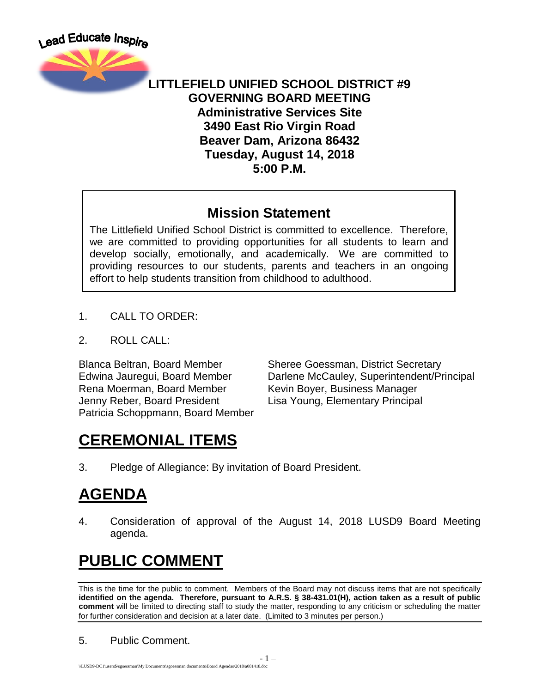

#### **LITTLEFIELD UNIFIED SCHOOL DISTRICT #9 GOVERNING BOARD MEETING Administrative Services Site 3490 East Rio Virgin Road Beaver Dam, Arizona 86432 Tuesday, August 14, 2018 5:00 P.M.**

#### **Mission Statement**

The Littlefield Unified School District is committed to excellence. Therefore, we are committed to providing opportunities for all students to learn and develop socially, emotionally, and academically. We are committed to providing resources to our students, parents and teachers in an ongoing effort to help students transition from childhood to adulthood.

- 1. CALL TO ORDER:
- 2. ROLL CALL:

Rena Moerman, Board Member Kevin Boyer, Business Manager Jenny Reber, Board President Lisa Young, Elementary Principal Patricia Schoppmann, Board Member

Blanca Beltran, Board Member Sheree Goessman, District Secretary Edwina Jauregui, Board Member Darlene McCauley, Superintendent/Principal

# **CEREMONIAL ITEMS**

3. Pledge of Allegiance: By invitation of Board President.

# **AGENDA**

4. Consideration of approval of the August 14, 2018 LUSD9 Board Meeting agenda.

# **PUBLIC COMMENT**

This is the time for the public to comment. Members of the Board may not discuss items that are not specifically **identified on the agenda. Therefore, pursuant to A.R.S. § 38-431.01(H), action taken as a result of public comment** will be limited to directing staff to study the matter, responding to any criticism or scheduling the matter for further consideration and decision at a later date. (Limited to 3 minutes per person.)

#### 5. Public Comment.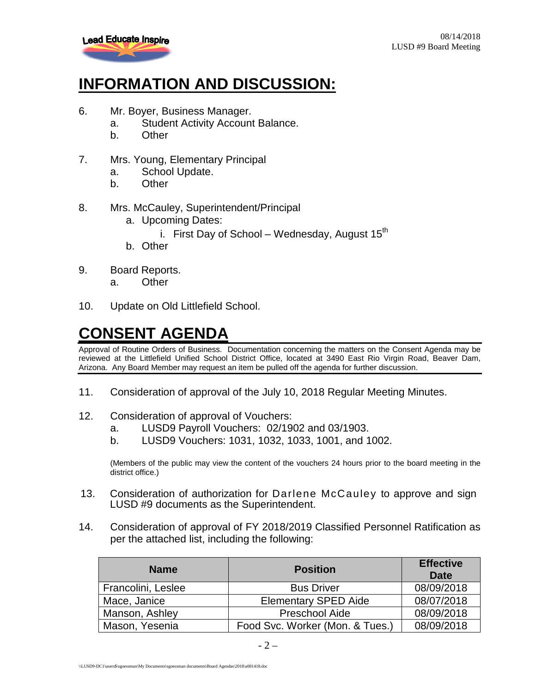

# **INFORMATION AND DISCUSSION:**

- 6. Mr. Boyer, Business Manager.
	- a. Student Activity Account Balance.
	- b. Other
- 7. Mrs. Young, Elementary Principal
	- a. School Update.
	- b. Other
- 8. Mrs. McCauley, Superintendent/Principal
	- a. Upcoming Dates:
		- i. First Day of School Wednesday, August  $15<sup>th</sup>$
	- b. Other
- 9. Board Reports.
	- a. Other
- 10. Update on Old Littlefield School.

## **CONSENT AGENDA**

Approval of Routine Orders of Business. Documentation concerning the matters on the Consent Agenda may be reviewed at the Littlefield Unified School District Office, located at 3490 East Rio Virgin Road, Beaver Dam, Arizona. Any Board Member may request an item be pulled off the agenda for further discussion.

- 11. Consideration of approval of the July 10, 2018 Regular Meeting Minutes.
- 12. Consideration of approval of Vouchers:
	- a. LUSD9 Payroll Vouchers: 02/1902 and 03/1903.
	- b. LUSD9 Vouchers: 1031, 1032, 1033, 1001, and 1002.

(Members of the public may view the content of the vouchers 24 hours prior to the board meeting in the district office.)

- 13. Consideration of authorization for Darlene McCauley to approve and sign LUSD #9 documents as the Superintendent.
- 14. Consideration of approval of FY 2018/2019 Classified Personnel Ratification as per the attached list, including the following:

| <b>Name</b>        | <b>Position</b>                 | <b>Effective</b><br>Date |
|--------------------|---------------------------------|--------------------------|
| Francolini, Leslee | <b>Bus Driver</b>               | 08/09/2018               |
| Mace, Janice       | <b>Elementary SPED Aide</b>     | 08/07/2018               |
| Manson, Ashley     | Preschool Aide                  | 08/09/2018               |
| Mason, Yesenia     | Food Svc. Worker (Mon. & Tues.) | 08/09/2018               |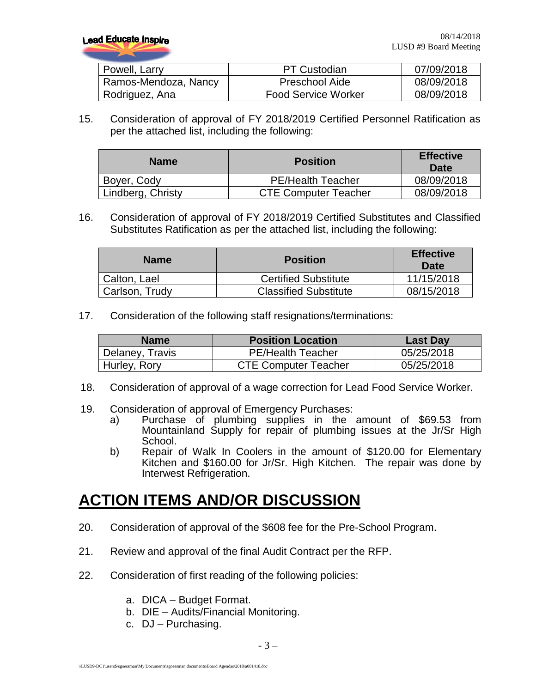**Lead Educate Inspire** 

| Powell, Larry        | <b>PT Custodian</b>        | 07/09/2018 |
|----------------------|----------------------------|------------|
| Ramos-Mendoza, Nancy | Preschool Aide             | 08/09/2018 |
| Rodriguez, Ana       | <b>Food Service Worker</b> | 08/09/2018 |

15. Consideration of approval of FY 2018/2019 Certified Personnel Ratification as per the attached list, including the following:

| <b>Name</b>       | <b>Position</b>             | <b>Effective</b><br>Date |
|-------------------|-----------------------------|--------------------------|
| Boyer, Cody       | <b>PE/Health Teacher</b>    | 08/09/2018               |
| Lindberg, Christy | <b>CTE Computer Teacher</b> | 08/09/2018               |

16. Consideration of approval of FY 2018/2019 Certified Substitutes and Classified Substitutes Ratification as per the attached list, including the following:

| <b>Name</b>    | <b>Position</b>              | <b>Effective</b><br>Date |
|----------------|------------------------------|--------------------------|
| Calton, Lael   | <b>Certified Substitute</b>  | 11/15/2018               |
| Carlson, Trudy | <b>Classified Substitute</b> | 08/15/2018               |

17. Consideration of the following staff resignations/terminations:

| <b>Name</b>     | <b>Position Location</b>    | <b>Last Day</b> |
|-----------------|-----------------------------|-----------------|
| Delaney, Travis | <b>PE/Health Teacher</b>    | 05/25/2018      |
| Hurley, Rory    | <b>CTE Computer Teacher</b> | 05/25/2018      |

- 18. Consideration of approval of a wage correction for Lead Food Service Worker.
- 19. Consideration of approval of Emergency Purchases:
	- a) Purchase of plumbing supplies in the amount of \$69.53 from Mountainland Supply for repair of plumbing issues at the Jr/Sr High School.
	- b) Repair of Walk In Coolers in the amount of \$120.00 for Elementary Kitchen and \$160.00 for Jr/Sr. High Kitchen. The repair was done by Interwest Refrigeration.

## **ACTION ITEMS AND/OR DISCUSSION**

- 20. Consideration of approval of the \$608 fee for the Pre-School Program.
- 21. Review and approval of the final Audit Contract per the RFP.
- 22. Consideration of first reading of the following policies:
	- a. DICA Budget Format.
	- b. DIE Audits/Financial Monitoring.
	- c. DJ Purchasing.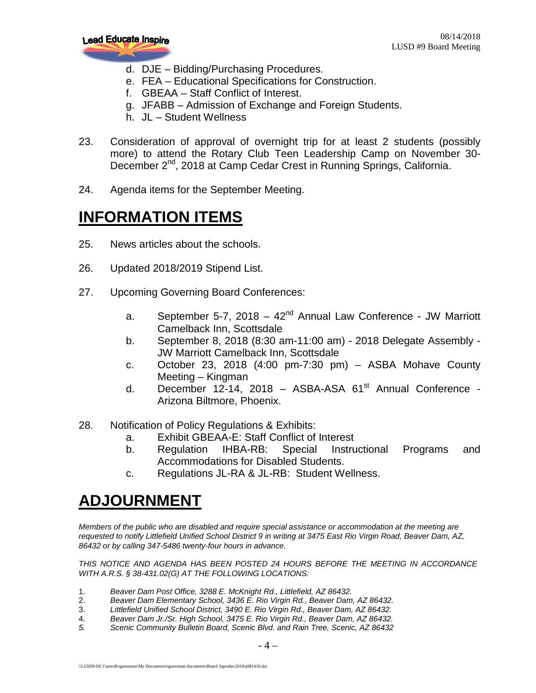

- d. DJE Bidding/Purchasing Procedures.
- e. FEA Educational Specifications for Construction.
- f. GBEAA Staff Conflict of Interest.
- g. JFABB Admission of Exchange and Foreign Students.
- h. JL Student Wellness
- 23. Consideration of approval of overnight trip for at least 2 students (possibly more) to attend the Rotary Club Teen Leadership Camp on November 30- December 2<sup>nd</sup>, 2018 at Camp Cedar Crest in Running Springs, California.
- 24. Agenda items for the September Meeting.

### **INFORMATION ITEMS**

- 25. News articles about the schools.
- 26. Updated 2018/2019 Stipend List.
- 27. Upcoming Governing Board Conferences:
	- a. September 5-7, 2018  $42<sup>nd</sup>$  Annual Law Conference JW Marriott Camelback Inn, Scottsdale
	- b. September 8, 2018 (8:30 am-11:00 am) 2018 Delegate Assembly JW Marriott Camelback Inn, Scottsdale
	- c. October 23, 2018 (4:00 pm-7:30 pm) ASBA Mohave County Meeting – Kingman
	- d. December 12-14, 2018 ASBA-ASA  $61<sup>st</sup>$  Annual Conference -Arizona Biltmore, Phoenix.
- 28. Notification of Policy Regulations & Exhibits:
	- a. Exhibit GBEAA-E: Staff Conflict of Interest
	- b. Regulation IHBA-RB: Special Instructional Programs and Accommodations for Disabled Students.
	- c. Regulations JL-RA & JL-RB: Student Wellness.

## **ADJOURNMENT**

*Members of the public who are disabled and require special assistance or accommodation at the meeting are requested to notify Littlefield Unified School District 9 in writing at 3475 East Rio Virgin Road, Beaver Dam, AZ, 86432 or by calling 347-5486 twenty-four hours in advance.* 

*THIS NOTICE AND AGENDA HAS BEEN POSTED 24 HOURS BEFORE THE MEETING IN ACCORDANCE WITH A.R.S. § 38-431.02(G) AT THE FOLLOWING LOCATIONS:* 

- 1. *Beaver Dam Post Office, 3288 E. McKnight Rd., Littlefield, AZ 86432.*
- 2. *Beaver Dam Elementary School, 3436 E. Rio Virgin Rd., Beaver Dam, AZ 86432.*
- 3. *Littlefield Unified School District, 3490 E. Rio Virgin Rd., Beaver Dam, AZ 86432.*
- 4. *Beaver Dam Jr./Sr. High School, 3475 E. Rio Virgin Rd., Beaver Dam, AZ 86432.*
- *5. Scenic Community Bulletin Board, Scenic Blvd. and Rain Tree, Scenic, AZ 86432*